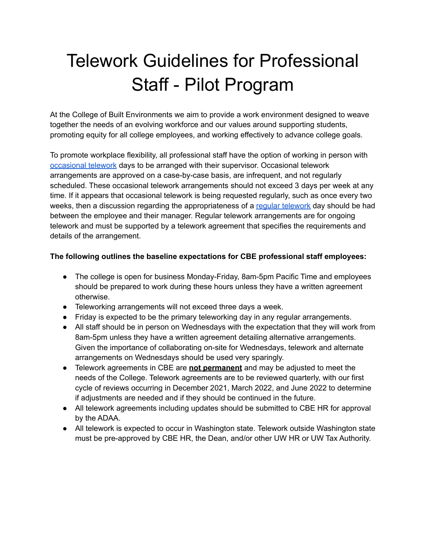# Telework Guidelines for Professional Staff - Pilot Program

At the College of Built Environments we aim to provide a work environment designed to weave together the needs of an evolving workforce and our values around supporting students, promoting equity for all college employees, and working effectively to advance college goals.

To promote workplace flexibility, all professional staff have the option of working in person with [occasional](https://hr.uw.edu/policies/telework/telework-remote-work-and-out-of-state-work/#types-of-telework) telework days to be arranged with their supervisor. Occasional telework arrangements are approved on a case-by-case basis, are infrequent, and not regularly scheduled. These occasional telework arrangements should not exceed 3 days per week at any time. If it appears that occasional telework is being requested regularly, such as once every two weeks, then a discussion regarding the appropriateness of a requiar [telework](https://hr.uw.edu/policies/telework/telework-remote-work-and-out-of-state-work/#types-of-telework) day should be had between the employee and their manager. Regular telework arrangements are for ongoing telework and must be supported by a telework agreement that specifies the requirements and details of the arrangement.

## **The following outlines the baseline expectations for CBE professional staff employees:**

- The college is open for business Monday-Friday, 8am-5pm Pacific Time and employees should be prepared to work during these hours unless they have a written agreement otherwise.
- Teleworking arrangements will not exceed three days a week.
- Friday is expected to be the primary teleworking day in any regular arrangements.
- All staff should be in person on Wednesdays with the expectation that they will work from 8am-5pm unless they have a written agreement detailing alternative arrangements. Given the importance of collaborating on-site for Wednesdays, telework and alternate arrangements on Wednesdays should be used very sparingly.
- Telework agreements in CBE are **not permanent** and may be adjusted to meet the needs of the College. Telework agreements are to be reviewed quarterly, with our first cycle of reviews occurring in December 2021, March 2022, and June 2022 to determine if adjustments are needed and if they should be continued in the future.
- All telework agreements including updates should be submitted to CBE HR for approval by the ADAA.
- All telework is expected to occur in Washington state. Telework outside Washington state must be pre-approved by CBE HR, the Dean, and/or other UW HR or UW Tax Authority.